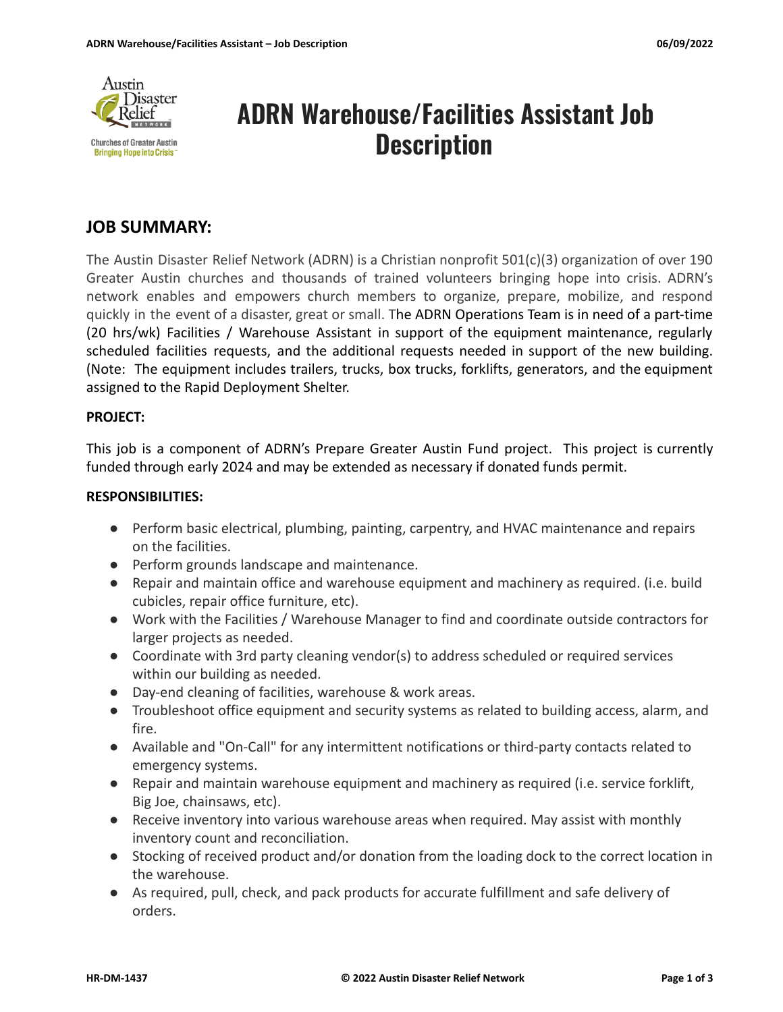

# **ADRN Warehouse/Facilities Assistant Job Description**

# **JOB SUMMARY:**

The Austin Disaster Relief Network (ADRN) is a Christian nonprofit 501(c)(3) organization of over 190 Greater Austin churches and thousands of trained volunteers bringing hope into crisis. ADRN's network enables and empowers church members to organize, prepare, mobilize, and respond quickly in the event of a disaster, great or small. The ADRN Operations Team is in need of a part-time (20 hrs/wk) Facilities / Warehouse Assistant in support of the equipment maintenance, regularly scheduled facilities requests, and the additional requests needed in support of the new building. (Note: The equipment includes trailers, trucks, box trucks, forklifts, generators, and the equipment assigned to the Rapid Deployment Shelter.

# **PROJECT:**

This job is a component of ADRN's Prepare Greater Austin Fund project. This project is currently funded through early 2024 and may be extended as necessary if donated funds permit.

# **RESPONSIBILITIES:**

- Perform basic electrical, plumbing, painting, carpentry, and HVAC maintenance and repairs on the facilities.
- Perform grounds landscape and maintenance.
- Repair and maintain office and warehouse equipment and machinery as required. (i.e. build cubicles, repair office furniture, etc).
- Work with the Facilities / Warehouse Manager to find and coordinate outside contractors for larger projects as needed.
- Coordinate with 3rd party cleaning vendor(s) to address scheduled or required services within our building as needed.
- Day-end cleaning of facilities, warehouse & work areas.
- Troubleshoot office equipment and security systems as related to building access, alarm, and fire.
- Available and "On-Call" for any intermittent notifications or third-party contacts related to emergency systems.
- Repair and maintain warehouse equipment and machinery as required (i.e. service forklift, Big Joe, chainsaws, etc).
- Receive inventory into various warehouse areas when required. May assist with monthly inventory count and reconciliation.
- Stocking of received product and/or donation from the loading dock to the correct location in the warehouse.
- As required, pull, check, and pack products for accurate fulfillment and safe delivery of orders.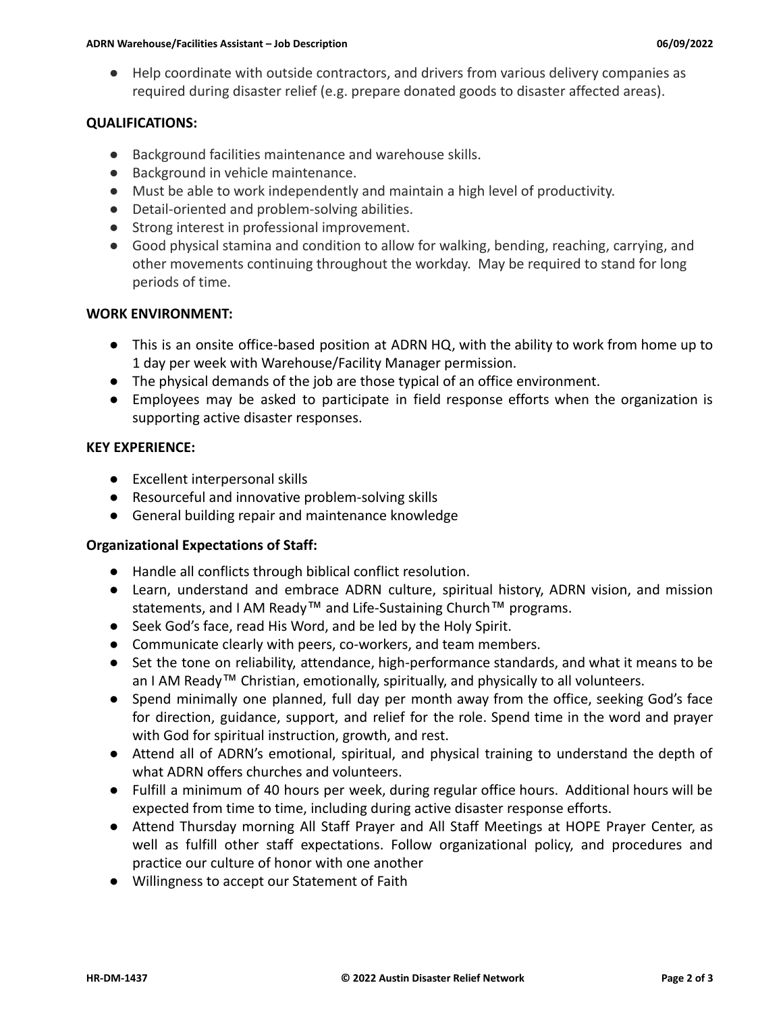● Help coordinate with outside contractors, and drivers from various delivery companies as required during disaster relief (e.g. prepare donated goods to disaster affected areas).

# **QUALIFICATIONS:**

- Background facilities maintenance and warehouse skills.
- Background in vehicle maintenance.
- Must be able to work independently and maintain a high level of productivity.
- Detail-oriented and problem-solving abilities.
- Strong interest in professional improvement.
- Good physical stamina and condition to allow for walking, bending, reaching, carrying, and other movements continuing throughout the workday. May be required to stand for long periods of time.

# **WORK ENVIRONMENT:**

- This is an onsite office-based position at ADRN HQ, with the ability to work from home up to 1 day per week with Warehouse/Facility Manager permission.
- The physical demands of the job are those typical of an office environment.
- Employees may be asked to participate in field response efforts when the organization is supporting active disaster responses.

#### **KEY EXPERIENCE:**

- Excellent interpersonal skills
- Resourceful and innovative problem-solving skills
- General building repair and maintenance knowledge

# **Organizational Expectations of Staff:**

- Handle all conflicts through biblical conflict resolution.
- Learn, understand and embrace ADRN culture, spiritual history, ADRN vision, and mission statements, and I AM Ready™ and Life-Sustaining Church™ programs.
- Seek God's face, read His Word, and be led by the Holy Spirit.
- Communicate clearly with peers, co-workers, and team members.
- Set the tone on reliability, attendance, high-performance standards, and what it means to be an I AM Ready™ Christian, emotionally, spiritually, and physically to all volunteers.
- Spend minimally one planned, full day per month away from the office, seeking God's face for direction, guidance, support, and relief for the role. Spend time in the word and prayer with God for spiritual instruction, growth, and rest.
- Attend all of ADRN's emotional, spiritual, and physical training to understand the depth of what ADRN offers churches and volunteers.
- Fulfill a minimum of 40 hours per week, during regular office hours. Additional hours will be expected from time to time, including during active disaster response efforts.
- Attend Thursday morning All Staff Prayer and All Staff Meetings at HOPE Prayer Center, as well as fulfill other staff expectations. Follow organizational policy, and procedures and practice our culture of honor with one another
- Willingness to accept our Statement of Faith